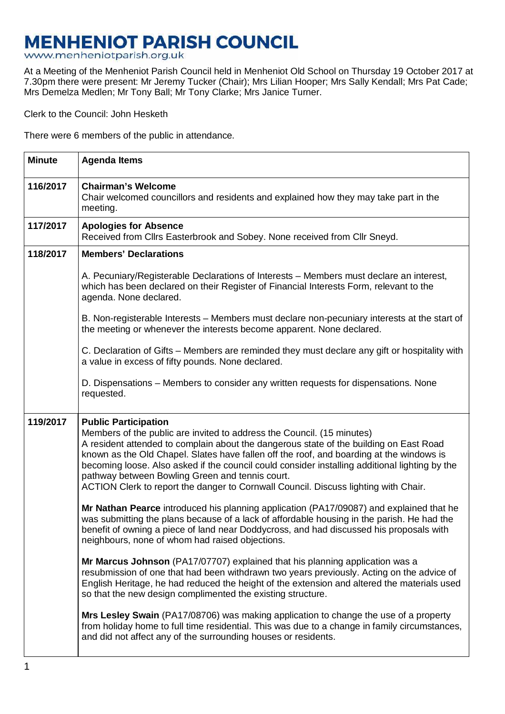# **MENHENIOT PARISH COUNCIL**

www.menheniotparish.org.uk

At a Meeting of the Menheniot Parish Council held in Menheniot Old School on Thursday 19 October 2017 at 7.30pm there were present: Mr Jeremy Tucker (Chair); Mrs Lilian Hooper; Mrs Sally Kendall; Mrs Pat Cade; Mrs Demelza Medlen; Mr Tony Ball; Mr Tony Clarke; Mrs Janice Turner.

Clerk to the Council: John Hesketh

There were 6 members of the public in attendance.

| <b>Minute</b> | <b>Agenda Items</b>                                                                                                                                                                                                                                                                                                                                                                                                                                                                                                                     |  |  |  |  |
|---------------|-----------------------------------------------------------------------------------------------------------------------------------------------------------------------------------------------------------------------------------------------------------------------------------------------------------------------------------------------------------------------------------------------------------------------------------------------------------------------------------------------------------------------------------------|--|--|--|--|
| 116/2017      | <b>Chairman's Welcome</b><br>Chair welcomed councillors and residents and explained how they may take part in the<br>meeting.                                                                                                                                                                                                                                                                                                                                                                                                           |  |  |  |  |
| 117/2017      | <b>Apologies for Absence</b><br>Received from Cllrs Easterbrook and Sobey. None received from Cllr Sneyd.                                                                                                                                                                                                                                                                                                                                                                                                                               |  |  |  |  |
| 118/2017      | <b>Members' Declarations</b>                                                                                                                                                                                                                                                                                                                                                                                                                                                                                                            |  |  |  |  |
|               | A. Pecuniary/Registerable Declarations of Interests – Members must declare an interest,<br>which has been declared on their Register of Financial Interests Form, relevant to the<br>agenda. None declared.                                                                                                                                                                                                                                                                                                                             |  |  |  |  |
|               | B. Non-registerable Interests - Members must declare non-pecuniary interests at the start of<br>the meeting or whenever the interests become apparent. None declared.                                                                                                                                                                                                                                                                                                                                                                   |  |  |  |  |
|               | C. Declaration of Gifts – Members are reminded they must declare any gift or hospitality with<br>a value in excess of fifty pounds. None declared.                                                                                                                                                                                                                                                                                                                                                                                      |  |  |  |  |
|               | D. Dispensations – Members to consider any written requests for dispensations. None<br>requested.                                                                                                                                                                                                                                                                                                                                                                                                                                       |  |  |  |  |
| 119/2017      | <b>Public Participation</b><br>Members of the public are invited to address the Council. (15 minutes)<br>A resident attended to complain about the dangerous state of the building on East Road<br>known as the Old Chapel. Slates have fallen off the roof, and boarding at the windows is<br>becoming loose. Also asked if the council could consider installing additional lighting by the<br>pathway between Bowling Green and tennis court.<br>ACTION Clerk to report the danger to Cornwall Council. Discuss lighting with Chair. |  |  |  |  |
|               | Mr Nathan Pearce introduced his planning application (PA17/09087) and explained that he<br>was submitting the plans because of a lack of affordable housing in the parish. He had the<br>benefit of owning a piece of land near Doddycross, and had discussed his proposals with<br>neighbours, none of whom had raised objections.                                                                                                                                                                                                     |  |  |  |  |
|               | Mr Marcus Johnson (PA17/07707) explained that his planning application was a<br>resubmission of one that had been withdrawn two years previously. Acting on the advice of<br>English Heritage, he had reduced the height of the extension and altered the materials used<br>so that the new design complimented the existing structure.                                                                                                                                                                                                 |  |  |  |  |
|               | Mrs Lesley Swain (PA17/08706) was making application to change the use of a property<br>from holiday home to full time residential. This was due to a change in family circumstances,<br>and did not affect any of the surrounding houses or residents.                                                                                                                                                                                                                                                                                 |  |  |  |  |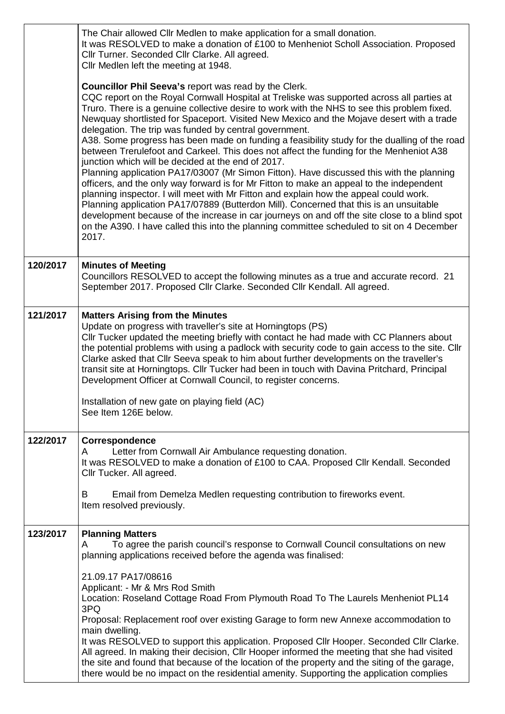|          | The Chair allowed Cllr Medlen to make application for a small donation.<br>It was RESOLVED to make a donation of £100 to Menheniot Scholl Association. Proposed<br>Cllr Turner. Seconded Cllr Clarke. All agreed.<br>Cllr Medlen left the meeting at 1948.                                                                                                                                                                                                                                                                                                                                                                                                                                                                                                                                                                                                                                                                                                                                                                                                                                                                                                                                                                                  |  |  |  |  |
|----------|---------------------------------------------------------------------------------------------------------------------------------------------------------------------------------------------------------------------------------------------------------------------------------------------------------------------------------------------------------------------------------------------------------------------------------------------------------------------------------------------------------------------------------------------------------------------------------------------------------------------------------------------------------------------------------------------------------------------------------------------------------------------------------------------------------------------------------------------------------------------------------------------------------------------------------------------------------------------------------------------------------------------------------------------------------------------------------------------------------------------------------------------------------------------------------------------------------------------------------------------|--|--|--|--|
|          | Councillor Phil Seeva's report was read by the Clerk.<br>CQC report on the Royal Cornwall Hospital at Treliske was supported across all parties at<br>Truro. There is a genuine collective desire to work with the NHS to see this problem fixed.<br>Newquay shortlisted for Spaceport. Visited New Mexico and the Mojave desert with a trade<br>delegation. The trip was funded by central government.<br>A38. Some progress has been made on funding a feasibility study for the dualling of the road<br>between Trerulefoot and Carkeel. This does not affect the funding for the Menheniot A38<br>junction which will be decided at the end of 2017.<br>Planning application PA17/03007 (Mr Simon Fitton). Have discussed this with the planning<br>officers, and the only way forward is for Mr Fitton to make an appeal to the independent<br>planning inspector. I will meet with Mr Fitton and explain how the appeal could work.<br>Planning application PA17/07889 (Butterdon Mill). Concerned that this is an unsuitable<br>development because of the increase in car journeys on and off the site close to a blind spot<br>on the A390. I have called this into the planning committee scheduled to sit on 4 December<br>2017. |  |  |  |  |
| 120/2017 | <b>Minutes of Meeting</b><br>Councillors RESOLVED to accept the following minutes as a true and accurate record. 21<br>September 2017. Proposed Cllr Clarke. Seconded Cllr Kendall. All agreed.                                                                                                                                                                                                                                                                                                                                                                                                                                                                                                                                                                                                                                                                                                                                                                                                                                                                                                                                                                                                                                             |  |  |  |  |
| 121/2017 | <b>Matters Arising from the Minutes</b><br>Update on progress with traveller's site at Horningtops (PS)<br>Cllr Tucker updated the meeting briefly with contact he had made with CC Planners about<br>the potential problems with using a padlock with security code to gain access to the site. Cllr<br>Clarke asked that Cllr Seeva speak to him about further developments on the traveller's<br>transit site at Horningtops. Cllr Tucker had been in touch with Davina Pritchard, Principal<br>Development Officer at Cornwall Council, to register concerns.<br>Installation of new gate on playing field (AC)<br>See Item 126E below.                                                                                                                                                                                                                                                                                                                                                                                                                                                                                                                                                                                                 |  |  |  |  |
| 122/2017 | Correspondence<br>Letter from Cornwall Air Ambulance requesting donation.<br>A<br>It was RESOLVED to make a donation of £100 to CAA. Proposed Cllr Kendall. Seconded<br>Cllr Tucker. All agreed.<br>Email from Demelza Medlen requesting contribution to fireworks event.<br>В<br>Item resolved previously.                                                                                                                                                                                                                                                                                                                                                                                                                                                                                                                                                                                                                                                                                                                                                                                                                                                                                                                                 |  |  |  |  |
| 123/2017 | <b>Planning Matters</b><br>To agree the parish council's response to Cornwall Council consultations on new<br>A<br>planning applications received before the agenda was finalised:<br>21.09.17 PA17/08616<br>Applicant: - Mr & Mrs Rod Smith<br>Location: Roseland Cottage Road From Plymouth Road To The Laurels Menheniot PL14<br>3PQ<br>Proposal: Replacement roof over existing Garage to form new Annexe accommodation to<br>main dwelling.<br>It was RESOLVED to support this application. Proposed Cllr Hooper. Seconded Cllr Clarke.<br>All agreed. In making their decision, Cllr Hooper informed the meeting that she had visited<br>the site and found that because of the location of the property and the siting of the garage,<br>there would be no impact on the residential amenity. Supporting the application complies                                                                                                                                                                                                                                                                                                                                                                                                    |  |  |  |  |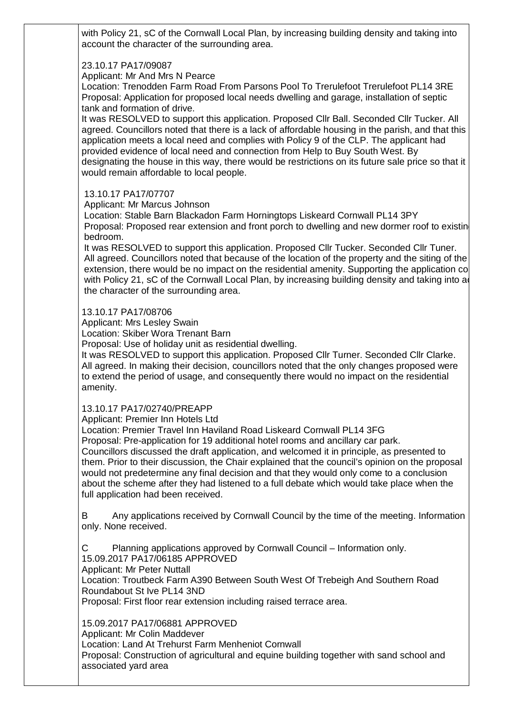with Policy 21, sC of the Cornwall Local Plan, by increasing building density and taking into account the character of the surrounding area.

## 23.10.17 PA17/09087

Applicant: Mr And Mrs N Pearce

Location: Trenodden Farm Road From Parsons Pool To Trerulefoot Trerulefoot PL14 3RE Proposal: Application for proposed local needs dwelling and garage, installation of septic tank and formation of drive.

It was RESOLVED to support this application. Proposed Cllr Ball. Seconded Cllr Tucker. All agreed. Councillors noted that there is a lack of affordable housing in the parish, and that this application meets a local need and complies with Policy 9 of the CLP. The applicant had provided evidence of local need and connection from Help to Buy South West. By designating the house in this way, there would be restrictions on its future sale price so that it would remain affordable to local people.

## 13.10.17 PA17/07707

Applicant: Mr Marcus Johnson

Location: Stable Barn Blackadon Farm Horningtops Liskeard Cornwall PL14 3PY Proposal: Proposed rear extension and front porch to dwelling and new dormer roof to existin bedroom.

It was RESOLVED to support this application. Proposed Cllr Tucker. Seconded Cllr Tuner. All agreed. Councillors noted that because of the location of the property and the siting of the extension, there would be no impact on the residential amenity. Supporting the application complies with Policy 21, sC of the Cornwall Local Plan, by increasing building density and taking into a the character of the surrounding area.

## 13.10.17 PA17/08706

Applicant: Mrs Lesley Swain

Location: Skiber Wora Trenant Barn

Proposal: Use of holiday unit as residential dwelling.

It was RESOLVED to support this application. Proposed Cllr Turner. Seconded Cllr Clarke. All agreed. In making their decision, councillors noted that the only changes proposed were to extend the period of usage, and consequently there would no impact on the residential amenity.

#### 13.10.17 PA17/02740/PREAPP

Applicant: Premier Inn Hotels Ltd

Location: Premier Travel Inn Haviland Road Liskeard Cornwall PL14 3FG

Proposal: Pre-application for 19 additional hotel rooms and ancillary car park.

Councillors discussed the draft application, and welcomed it in principle, as presented to them. Prior to their discussion, the Chair explained that the council's opinion on the proposal would not predetermine any final decision and that they would only come to a conclusion about the scheme after they had listened to a full debate which would take place when the full application had been received.

B Any applications received by Cornwall Council by the time of the meeting. Information only. None received.

C Planning applications approved by Cornwall Council – Information only. 15.09.2017 PA17/06185 APPROVED

Applicant: Mr Peter Nuttall

Location: Troutbeck Farm A390 Between South West Of Trebeigh And Southern Road Roundabout St Ive PL14 3ND

Proposal: First floor rear extension including raised terrace area.

15.09.2017 PA17/06881 APPROVED

Applicant: Mr Colin Maddever

Location: Land At Trehurst Farm Menheniot Cornwall

Proposal: Construction of agricultural and equine building together with sand school and associated yard area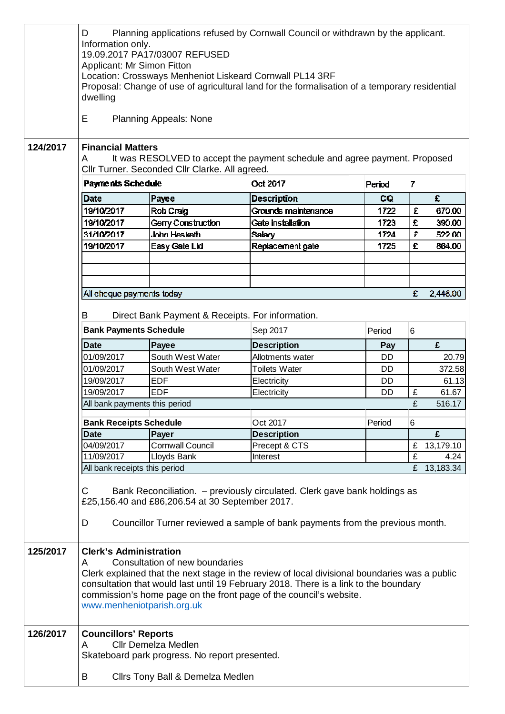|          | D<br>Information only.<br>Applicant: Mr Simon Fitton<br>dwelling                                                                                                                                                                                                                                                                                                  | 19.09.2017 PA17/03007 REFUSED                                                                                    | Planning applications refused by Cornwall Council or withdrawn by the applicant.<br>Location: Crossways Menheniot Liskeard Cornwall PL14 3RF<br>Proposal: Change of use of agricultural land for the formalisation of a temporary residential |           |              |           |  |  |  |
|----------|-------------------------------------------------------------------------------------------------------------------------------------------------------------------------------------------------------------------------------------------------------------------------------------------------------------------------------------------------------------------|------------------------------------------------------------------------------------------------------------------|-----------------------------------------------------------------------------------------------------------------------------------------------------------------------------------------------------------------------------------------------|-----------|--------------|-----------|--|--|--|
|          | E                                                                                                                                                                                                                                                                                                                                                                 | <b>Planning Appeals: None</b>                                                                                    |                                                                                                                                                                                                                                               |           |              |           |  |  |  |
| 124/2017 | <b>Financial Matters</b><br>It was RESOLVED to accept the payment schedule and agree payment. Proposed<br>A<br>Cllr Turner. Seconded Cllr Clarke. All agreed.                                                                                                                                                                                                     |                                                                                                                  |                                                                                                                                                                                                                                               |           |              |           |  |  |  |
|          | Payments Schedule                                                                                                                                                                                                                                                                                                                                                 |                                                                                                                  | Oct 2017                                                                                                                                                                                                                                      | Period    | 7            |           |  |  |  |
|          | Date                                                                                                                                                                                                                                                                                                                                                              | Payee                                                                                                            | <b>Description</b>                                                                                                                                                                                                                            | CQ        |              | £         |  |  |  |
|          | 19/10/2017                                                                                                                                                                                                                                                                                                                                                        | Rob Craig                                                                                                        | Grounds maintenance                                                                                                                                                                                                                           | 1722      | £            | 670.00    |  |  |  |
|          | 19/10/2017                                                                                                                                                                                                                                                                                                                                                        | Gerry Construction                                                                                               | Gate installation                                                                                                                                                                                                                             | 1723      | £            | 390.00    |  |  |  |
|          | 31/10/2017                                                                                                                                                                                                                                                                                                                                                        | John Hesketh                                                                                                     | <b>Salary</b>                                                                                                                                                                                                                                 | 1724      | $\mathbf{E}$ | 522.00    |  |  |  |
|          | 19/10/2017                                                                                                                                                                                                                                                                                                                                                        | Easy Gate Ltd                                                                                                    | Replacement gate                                                                                                                                                                                                                              | 1725      | £            | 864.00    |  |  |  |
|          |                                                                                                                                                                                                                                                                                                                                                                   |                                                                                                                  |                                                                                                                                                                                                                                               |           |              |           |  |  |  |
|          |                                                                                                                                                                                                                                                                                                                                                                   |                                                                                                                  |                                                                                                                                                                                                                                               |           |              |           |  |  |  |
|          |                                                                                                                                                                                                                                                                                                                                                                   |                                                                                                                  |                                                                                                                                                                                                                                               |           |              |           |  |  |  |
|          | All cheque payments today                                                                                                                                                                                                                                                                                                                                         |                                                                                                                  |                                                                                                                                                                                                                                               |           | £            | 2,446.00  |  |  |  |
|          |                                                                                                                                                                                                                                                                                                                                                                   |                                                                                                                  |                                                                                                                                                                                                                                               |           |              |           |  |  |  |
|          | B<br>Direct Bank Payment & Receipts. For information.                                                                                                                                                                                                                                                                                                             |                                                                                                                  |                                                                                                                                                                                                                                               |           |              |           |  |  |  |
|          |                                                                                                                                                                                                                                                                                                                                                                   |                                                                                                                  |                                                                                                                                                                                                                                               |           |              |           |  |  |  |
|          | <b>Bank Payments Schedule</b>                                                                                                                                                                                                                                                                                                                                     |                                                                                                                  | Sep 2017                                                                                                                                                                                                                                      | Period    | 6            |           |  |  |  |
|          | <b>Date</b>                                                                                                                                                                                                                                                                                                                                                       | Payee                                                                                                            | <b>Description</b>                                                                                                                                                                                                                            | Pay       |              | £         |  |  |  |
|          | 01/09/2017                                                                                                                                                                                                                                                                                                                                                        | South West Water                                                                                                 | Allotments water                                                                                                                                                                                                                              | <b>DD</b> |              | 20.79     |  |  |  |
|          | 01/09/2017                                                                                                                                                                                                                                                                                                                                                        | South West Water                                                                                                 | <b>Toilets Water</b>                                                                                                                                                                                                                          | DD        |              | 372.58    |  |  |  |
|          | 19/09/2017                                                                                                                                                                                                                                                                                                                                                        | <b>EDF</b>                                                                                                       | Electricity                                                                                                                                                                                                                                   | <b>DD</b> |              | 61.13     |  |  |  |
|          | 19/09/2017                                                                                                                                                                                                                                                                                                                                                        | <b>EDF</b>                                                                                                       | Electricity                                                                                                                                                                                                                                   | DD        | £            | 61.67     |  |  |  |
|          | £<br>516.17<br>All bank payments this period                                                                                                                                                                                                                                                                                                                      |                                                                                                                  |                                                                                                                                                                                                                                               |           |              |           |  |  |  |
|          |                                                                                                                                                                                                                                                                                                                                                                   |                                                                                                                  |                                                                                                                                                                                                                                               |           |              |           |  |  |  |
|          | <b>Bank Receipts Schedule</b>                                                                                                                                                                                                                                                                                                                                     |                                                                                                                  | Oct 2017                                                                                                                                                                                                                                      | Period    | 6            |           |  |  |  |
|          | <b>Date</b>                                                                                                                                                                                                                                                                                                                                                       | Payer                                                                                                            | <b>Description</b>                                                                                                                                                                                                                            |           |              | £         |  |  |  |
|          | 04/09/2017                                                                                                                                                                                                                                                                                                                                                        | <b>Cornwall Council</b>                                                                                          | Precept & CTS                                                                                                                                                                                                                                 |           | £            | 13,179.10 |  |  |  |
|          | 11/09/2017                                                                                                                                                                                                                                                                                                                                                        | Lloyds Bank                                                                                                      | Interest                                                                                                                                                                                                                                      |           | £            | 4.24      |  |  |  |
|          | All bank receipts this period                                                                                                                                                                                                                                                                                                                                     |                                                                                                                  |                                                                                                                                                                                                                                               |           | £            | 13,183.34 |  |  |  |
|          | Bank Reconciliation. - previously circulated. Clerk gave bank holdings as<br>C<br>£25,156.40 and £86,206.54 at 30 September 2017.<br>Councillor Turner reviewed a sample of bank payments from the previous month.<br>D                                                                                                                                           |                                                                                                                  |                                                                                                                                                                                                                                               |           |              |           |  |  |  |
| 125/2017 | <b>Clerk's Administration</b><br>Consultation of new boundaries<br>A<br>Clerk explained that the next stage in the review of local divisional boundaries was a public<br>consultation that would last until 19 February 2018. There is a link to the boundary<br>commission's home page on the front page of the council's website.<br>www.menheniotparish.org.uk |                                                                                                                  |                                                                                                                                                                                                                                               |           |              |           |  |  |  |
| 126/2017 | <b>Councillors' Reports</b><br>A<br>B                                                                                                                                                                                                                                                                                                                             | <b>Cllr Demelza Medlen</b><br>Skateboard park progress. No report presented.<br>Cllrs Tony Ball & Demelza Medlen |                                                                                                                                                                                                                                               |           |              |           |  |  |  |